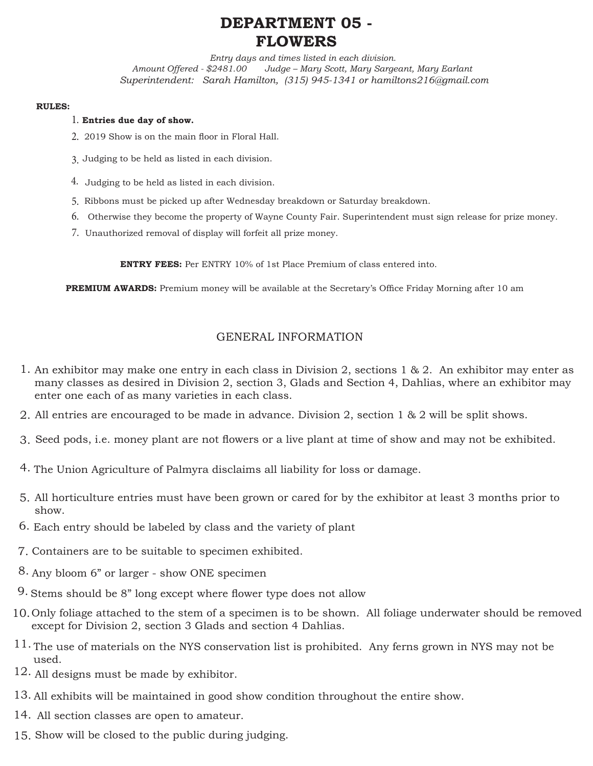# **DEPARTMENT 05 - FLOWERS**

*Entry days and times listed in each division. Amount Offered - \$2481.00 Judge – Mary Scott, Mary Sargeant, Mary Earlant Superintendent: Sarah Hamilton, (315) 945-1341 or hamiltons216@gmail.com*

#### **RULES:**

### **Entries due day of show.** 1.

- 2. 2019 Show is on the main floor in Floral Hall.
- Judging to be held as listed in each division. 3.
- 4. Judging to be held as listed in each division.
- 5. Ribbons must be picked up after Wednesday breakdown or Saturday breakdown.
- 6. Otherwise they become the property of Wayne County Fair. Superintendent must sign release for prize money.
- 7. Unauthorized removal of display will forfeit all prize money.

**ENTRY FEES:** Per ENTRY 10% of 1st Place Premium of class entered into.

**PREMIUM AWARDS:** Premium money will be available at the Secretary's Office Friday Morning after 10 am

### GENERAL INFORMATION

- 1. An exhibitor may make one entry in each class in Division 2, sections 1 & 2. An exhibitor may enter as many classes as desired in Division 2, section 3, Glads and Section 4, Dahlias, where an exhibitor may enter one each of as many varieties in each class.
- All entries are encouraged to be made in advance. Division 2, section 1 & 2 will be split shows. 2.
- Seed pods, i.e. money plant are not flowers or a live plant at time of show and may not be exhibited. 3.
- 4. The Union Agriculture of Palmyra disclaims all liability for loss or damage.
- All horticulture entries must have been grown or cared for by the exhibitor at least 3 months prior to 5. show.
- Each entry should be labeled by class and the variety of plant 6.
- 7. Containers are to be suitable to specimen exhibited.
- Any bloom 6" or larger show ONE specimen 8.
- $9.$  Stems should be  $8$ " long except where flower type does not allow
- 10. Only foliage attached to the stem of a specimen is to be shown. All foliage underwater should be removed except for Division 2, section 3 Glads and section 4 Dahlias.
- $11.$  The use of materials on the NYS conservation list is prohibited. Any ferns grown in NYS may not be used.
- $12.$  All designs must be made by exhibitor.
- 13. All exhibits will be maintained in good show condition throughout the entire show.
- 14. All section classes are open to amateur.
- 15. Show will be closed to the public during judging.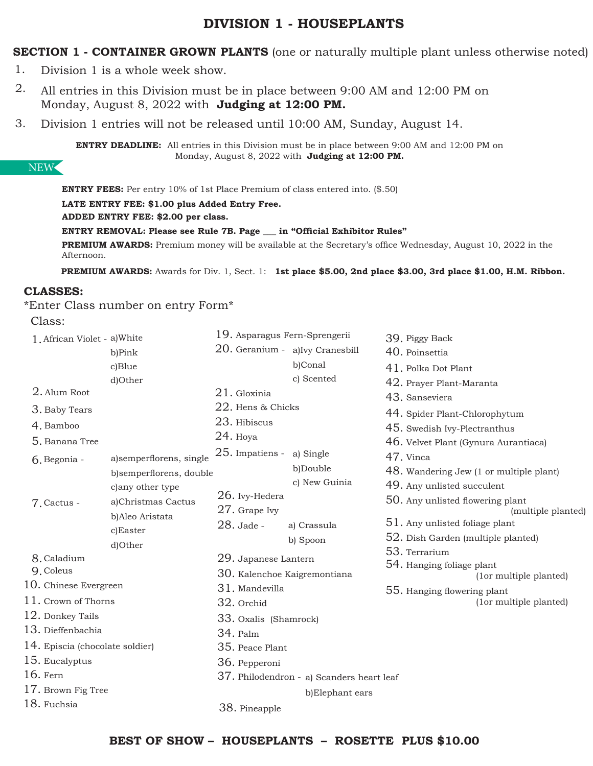## **DIVISION 1 - HOUSEPLANTS**

**SECTION 1 - CONTAINER GROWN PLANTS** (one or naturally multiple plant unless otherwise noted)

- Division 1 is a whole week show. 1.
- All entries in this Division must be in place between 9:00 AM and 12:00 PM on Monday, August 8, 2022 with **Judging at 12:00 PM.**  2.
- Division 1 entries will not be released until 10:00 AM, Sunday, August 14. 3.

**ENTRY DEADLINE:** All entries in this Division must be in place between 9:00 AM and 12:00 PM on Monday, August 8, 2022 with **Judging at 12:00 PM.** 

### NEW

**ENTRY FEES:** Per entry 10% of 1st Place Premium of class entered into. (\$.50)

**LATE ENTRY FEE: \$1.00 plus Added Entry Free.**

**ADDED ENTRY FEE: \$2.00 per class.** 

**ENTRY REMOVAL: Please see Rule 7B. Page \_\_\_ in "Official Exhibitor Rules"**

**PREMIUM AWARDS:** Premium money will be available at the Secretary's office Wednesday, August 10, 2022 in the Afternoon.

**PREMIUM AWARDS:** Awards for Div. 1, Sect. 1: **1st place \$5.00, 2nd place \$3.00, 3rd place \$1.00, H.M. Ribbon.**

### **CLASSES:**

\*Enter Class number on entry Form\*

Class:

| 1. African Violet - a) White    |                         | 19. Asparagus Fern-Sprengerii |                                           | 39. Piggy Back                                                         |
|---------------------------------|-------------------------|-------------------------------|-------------------------------------------|------------------------------------------------------------------------|
|                                 | b)Pink                  |                               | 20. Geranium - a)Ivy Cranesbill           | 40. Poinsettia                                                         |
|                                 | c)Blue                  |                               | b)Conal                                   | 41. Polka Dot Plant                                                    |
|                                 | d)Other                 |                               | c) Scented                                | 42. Prayer Plant-Maranta                                               |
| 2. Alum Root                    |                         | $21.$ Gloxinia                |                                           | 43. Sanseviera                                                         |
| 3. Baby Tears                   |                         | 22. Hens & Chicks             |                                           | 44. Spider Plant-Chlorophytum                                          |
| 4. Bamboo                       |                         | 23. Hibiscus                  |                                           | 45. Swedish Ivy-Plectranthus                                           |
| 5. Banana Tree                  |                         | $24.$ Hoya                    |                                           | 46. Velvet Plant (Gynura Aurantiaca)                                   |
| 6. Begonia -                    | a)semperflorens, single | $25.$ Impatiens -             | a) Single                                 | 47. Vinca                                                              |
|                                 | b)semperflorens, double |                               | b)Double                                  | 48. Wandering Jew (1 or multiple plant)                                |
|                                 | c) any other type       |                               | c) New Guinia                             | 49. Any unlisted succulent                                             |
| 7. Cactus -                     | a)Christmas Cactus      | $26.$ Ivy-Hedera              |                                           | 50. Any unlisted flowering plant                                       |
|                                 | b)Aleo Aristata         | $27.$ Grape Ivy               |                                           | (multiple planted)                                                     |
|                                 | c)Easter                | 28. Jade -                    | a) Crassula                               | $51.$ Any unlisted foliage plant<br>52. Dish Garden (multiple planted) |
|                                 | d)Other                 |                               | b) Spoon                                  | 53. Terrarium                                                          |
| 8. Caladium                     |                         | 29. Japanese Lantern          |                                           | 54. Hanging foliage plant                                              |
| 9. Coleus                       |                         | 30. Kalenchoe Kaigremontiana  |                                           | (lor multiple planted)                                                 |
| 10. Chinese Evergreen           |                         | 31. Mandevilla                |                                           | 55. Hanging flowering plant                                            |
| 11. Crown of Thorns             |                         | 32. Orchid                    |                                           | (lor multiple planted)                                                 |
| 12. Donkey Tails                |                         | 33. Oxalis (Shamrock)         |                                           |                                                                        |
| 13. Dieffenbachia               |                         | 34. Palm                      |                                           |                                                                        |
| 14. Episcia (chocolate soldier) |                         | 35. Peace Plant               |                                           |                                                                        |
| 15. Eucalyptus                  |                         | 36. Pepperoni                 |                                           |                                                                        |
| 16. Fern                        |                         |                               | 37. Philodendron - a) Scanders heart leaf |                                                                        |
| 17. Brown Fig Tree              |                         |                               | b)Elephant ears                           |                                                                        |
| 18. Fuchsia                     |                         | 38. Pineapple                 |                                           |                                                                        |
|                                 |                         |                               |                                           |                                                                        |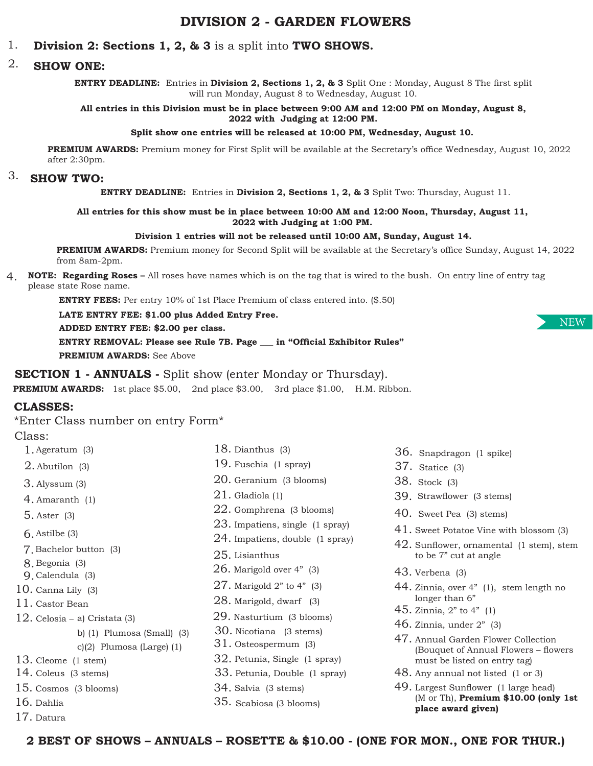# **DIVISION 2 - GARDEN FLOWERS**

#### **Division 2: Sections 1, 2, & 3** is a split into **TWO SHOWS.** 1.

#### **SHOW ONE:** 2.

**ENTRY DEADLINE:** Entries in **Division 2, Sections 1, 2, & 3** Split One : Monday, August 8 The first split will run Monday, August 8 to Wednesday, August 10.

#### **All entries in this Division must be in place between 9:00 AM and 12:00 PM on Monday, August 8, 2022 with Judging at 12:00 PM.**

#### **Split show one entries will be released at 10:00 PM, Wednesday, August 10.**

**PREMIUM AWARDS:** Premium money for First Split will be available at the Secretary's office Wednesday, August 10, 2022 after 2:30pm.

# 3. **SHOW TWO:**

**ENTRY DEADLINE:** Entries in **Division 2, Sections 1, 2, & 3** Split Two: Thursday, August 11.

#### **All entries for this show must be in place between 10:00 AM and 12:00 Noon, Thursday, August 11, 2022 with Judging at 1:00 PM.**

#### **Division 1 entries will not be released until 10:00 AM, Sunday, August 14.**

**PREMIUM AWARDS:** Premium money for Second Split will be available at the Secretary's office Sunday, August 14, 2022 from 8am-2pm.

4. **NOTE: Regarding Roses –** All roses have names which is on the tag that is wired to the bush. On entry line of entry tag please state Rose name.

**ENTRY FEES:** Per entry 10% of 1st Place Premium of class entered into. (\$.50)

### **LATE ENTRY FEE: \$1.00 plus Added Entry Free.**

**ADDED ENTRY FEE: \$2.00 per class.** 

**ENTRY REMOVAL: Please see Rule 7B. Page \_\_\_ in "Official Exhibitor Rules" PREMIUM AWARDS:** See Above

#### **SECTION 1 - ANNUALS -** Split show (enter Monday or Thursday).

**PREMIUM AWARDS:** 1st place \$5.00, 2nd place \$3.00, 3rd place \$1.00, H.M. Ribbon.

### **CLASSES:**

\*Enter Class number on entry Form\*

#### Class:

- Ageratum (3) 1.
- $2.$  Abutilon  $(3)$
- Alyssum (3) 3.
- Amaranth (1) 4.
- Aster (3) 5.
- Astilbe (3) 6.
- Bachelor button (3) 7.
- Begonia (3) 8.
- Calendula (3) 9.
- Canna Lily (3) 10.
- 11. Castor Bean
- 12. Celosia a) Cristata (3)
	- b) (1) Plumosa (Small) (3)
		- c)(2) Plumosa (Large) (1)
- 13. Cleome (1 stem)
- 14. Coleus (3 stems)
- 15. Cosmos (3 blooms)
- 16. Dahlia
- 17. Datura

 $21\ldotp$  Gladiola (1) 23. Impatiens, single (1 spray) 20. Geranium (3 blooms)  $25.$  Lisianthus 22. Gomphrena (3 blooms)  $24.$  Impatiens, double (1 spray)

18. Dianthus (3) 19. Fuschia (1 spray)

- $26.$  Marigold over 4" (3)
- $27.$  Marigold  $2"$  to  $4"$  (3)
- $28.$  Marigold, dwarf  $(3)$
- 29. Nasturtium (3 blooms)
- 30. Nicotiana (3 stems)
- 31. Osteospermum (3)
- 32. Petunia, Single (1 spray)
- Petunia, Double (1 spray) 33.
- 34. Salvia (3 stems)
- Scabiosa (3 blooms) 35.
- 36. Snapdragon (1 spike)
- Statice (3) 37.
- Stock (3) 38.
- Strawflower (3 stems) 39.
- 40. Sweet Pea (3) stems)
- 41. Sweet Potatoe Vine with blossom (3)
- 42. Sunflower, ornamental (1 stem), stem to be 7" cut at angle
- 43. Verbena (3)
- 44. Zinnia, over 4" (1), stem length no longer than 6"
- $45. Zinnia, 2" to 4" (1)$
- $46.$  Zinnia, under  $2"$  (3)
- 47. Annual Garden Flower Collection (Bouquet of Annual Flowers – flowers must be listed on entry tag)
- 48. Any annual not listed (1 or 3)
- Largest Sunflower (1 large head) 49. (M or Th), **Premium \$10.00 (only 1st place award given)**

**2 BEST OF SHOWS – ANNUALS – ROSETTE & \$10.00 - (ONE FOR MON., ONE FOR THUR.)**

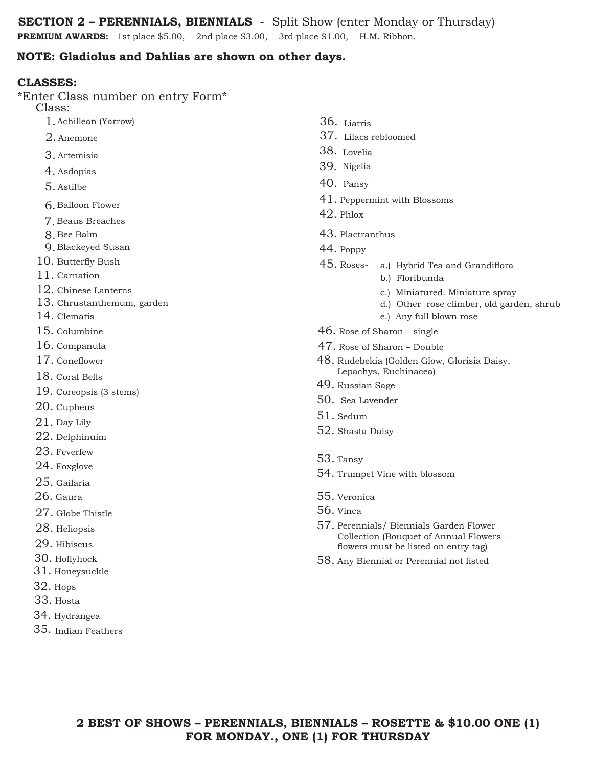**SECTION 2 – PERENNIALS, BIENNIALS -** Split Show (enter Monday or Thursday)

**PREMIUM AWARDS:** 1st place \$5.00, 2nd place \$3.00, 3rd place \$1.00, H.M. Ribbon.

### **NOTE: Gladiolus and Dahlias are shown on other days.**

### **CLASSES:**

\*Enter Class number on entry Form\*

Class:

- Achillean (Yarrow) 1.
- 2. Anemone
- Artemisia 3.
- Asdopias 4.
- Astilbe 5.
- **6.** Balloon Flower
- Beaus Breaches 7.
- Bee Balm 8.
- Blackeyed Susan 9.
- 10. Butterfly Bush
- 11. Carnation
- 12. Chinese Lanterns
- 13. Chrustanthemum, garden
- 14. Clematis
- 15. Columbine
- 16. Companula
- 17. Coneflower
- 18. Coral Bells
- 19. Coreopsis (3 stems)
- $20.$  Cupheus
- $21.$  Day Lily
- $22$ . Delphinuim
- 23. Feverfew
- 24. Foxglove
- $25$ . Gailaria
- $26$ . Gaura
- $27.$  Globe Thistle
- $28.$  Heliopsis
- 29. Hibiscus
- 30. Hollyhock
- $31.$  Honeysuckle
- $32.$  Hops
- 33. Hosta
- 34. Hydrangea
- 35. Indian Feathers
- 36. Liatris
- 37. Lilacs rebloomed
- 38. Lovelia
- 39. Nigelia
- 40. Pansy
- $41.$  Peppermint with Blossoms
- $42.$  Phlox
- 43. Plactranthus
- 44. Poppy
- a.) Hybrid Tea and Grandiflora 45.
	- b.) Floribunda
		- c.) Miniatured. Miniature spray
		- d.) Other rose climber, old garden, shrub
	- e.) Any full blown rose
- $46.$  Rose of Sharon single
- 47. Rose of Sharon Double
- 48. Rudebekia (Golden Glow, Glorisia Daisy, Lepachys, Euchinacea)
- 49. Russian Sage
- 50. Sea Lavender
- 51. Sedum
- 52. Shasta Daisy
- 53. Tansy
- 54. Trumpet Vine with blossom
- 55. Veronica
- 56. Vinca
- 57. Perennials/ Biennials Garden Flower Collection (Bouquet of Annual Flowers – flowers must be listed on entry tag)
- 58. Any Biennial or Perennial not listed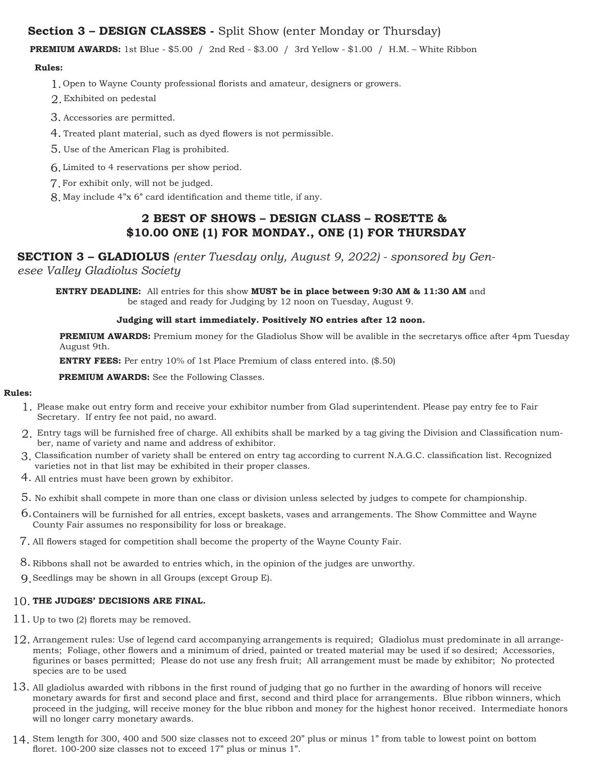### **Section 3 – DESIGN CLASSES -** Split Show (enter Monday or Thursday)

**PREMIUM AWARDS:** 1st Blue - \$5.00 / 2nd Red - \$3.00 / 3rd Yellow - \$1.00 / H.M. – White Ribbon

#### **Rules:**

- 1. Open to Wayne County professional florists and amateur, designers or growers.
- Exhibited on pedestal 2.
- Accessories are permitted. 3.
- 4. Treated plant material, such as dyed flowers is not permissible.
- Use of the American Flag is prohibited. 5.
- Limited to 4 reservations per show period. 6.
- For exhibit only, will not be judged. 7.
- May include 4"x 6" card identification and theme title, if any. 8.

### **2 BEST OF SHOWS – DESIGN CLASS – ROSETTE & \$10.00 ONE (1) FOR MONDAY., ONE (1) FOR THURSDAY**

## **SECTION 3 – GLADIOLUS** *(enter Tuesday only, August 9, 2022) - sponsored by Gen-*

*esee Valley Gladiolus Society*

**ENTRY DEADLINE:** All entries for this show **MUST be in place between 9:30 AM & 11:30 AM** and be staged and ready for Judging by 12 noon on Tuesday, August 9.

#### **Judging will start immediately. Positively NO entries after 12 noon.**

**PREMIUM AWARDS:** Premium money for the Gladiolus Show will be avalible in the secretarys office after 4pm Tuesday August 9th.

**ENTRY FEES:** Per entry 10% of 1st Place Premium of class entered into. (\$.50)

**PREMIUM AWARDS:** See the Following Classes.

#### **Rules:**

- 1. Please make out entry form and receive your exhibitor number from Glad superintendent. Please pay entry fee to Fair Secretary. If entry fee not paid, no award.
- 2. Entry tags will be furnished free of charge. All exhibits shall be marked by a tag giving the Division and Classification number, name of variety and name and address of exhibitor.
- 3. Classification number of variety shall be entered on entry tag according to current N.A.G.C. classification list. Recognized varieties not in that list may be exhibited in their proper classes.
- 4. All entries must have been grown by exhibitor.
- 5. No exhibit shall compete in more than one class or division unless selected by judges to compete for championship.
- 6. Containers will be furnished for all entries, except baskets, vases and arrangements. The Show Committee and Wayne County Fair assumes no responsibility for loss or breakage.
- 7. All flowers staged for competition shall become the property of the Wayne County Fair.
- 8. Ribbons shall not be awarded to entries which, in the opinion of the judges are unworthy.
- 9. Seedlings may be shown in all Groups (except Group E).

### 10. **THE JUDGES' DECISIONS ARE FINAL.**

- 11. Up to two (2) florets may be removed.
- 12. Arrangement rules: Use of legend card accompanying arrangements is required; Gladiolus must predominate in all arrangements; Foliage, other flowers and a minimum of dried, painted or treated material may be used if so desired; Accessories, figurines or bases permitted; Please do not use any fresh fruit; All arrangement must be made by exhibitor; No protected species are to be used
- 13. All gladiolus awarded with ribbons in the first round of judging that go no further in the awarding of honors will receive monetary awards for first and second place and first, second and third place for arrangements. Blue ribbon winners, which proceed in the judging, will receive money for the blue ribbon and money for the highest honor received. Intermediate honors will no longer carry monetary awards.
- 14. Stem length for 300, 400 and 500 size classes not to exceed 20" plus or minus 1" from table to lowest point on bottom floret. 100-200 size classes not to exceed 17" plus or minus 1".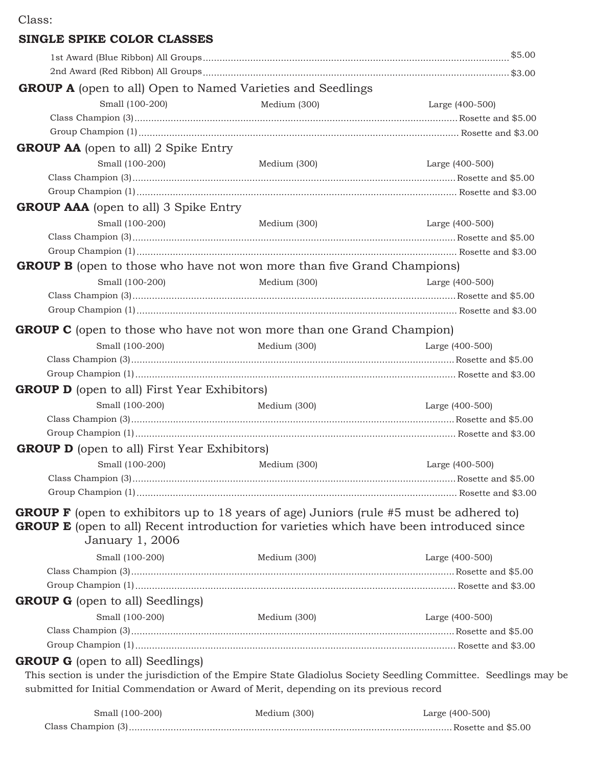# **SINGLE SPIKE COLOR CLASSES**

| <b>GROUP A</b> (open to all) Open to Named Varieties and Seedlings                                                |              |                 |
|-------------------------------------------------------------------------------------------------------------------|--------------|-----------------|
| Small (100-200)                                                                                                   | Medium (300) | Large (400-500) |
|                                                                                                                   |              |                 |
|                                                                                                                   |              |                 |
| <b>GROUP AA</b> (open to all) 2 Spike Entry                                                                       |              |                 |
| Small (100-200)                                                                                                   | Medium (300) | Large (400-500) |
|                                                                                                                   |              |                 |
|                                                                                                                   |              |                 |
| <b>GROUP AAA</b> (open to all) 3 Spike Entry                                                                      |              |                 |
| Small (100-200)                                                                                                   | Medium (300) | Large (400-500) |
|                                                                                                                   |              |                 |
|                                                                                                                   |              |                 |
| <b>GROUP B</b> (open to those who have not won more than five Grand Champions)                                    |              |                 |
| Small (100-200)                                                                                                   | Medium (300) | Large (400-500) |
|                                                                                                                   |              |                 |
|                                                                                                                   |              |                 |
| <b>GROUP C</b> (open to those who have not won more than one Grand Champion)                                      |              |                 |
|                                                                                                                   |              |                 |
| Small (100-200)                                                                                                   | Medium (300) | Large (400-500) |
|                                                                                                                   |              |                 |
|                                                                                                                   |              |                 |
| <b>GROUP D</b> (open to all) First Year Exhibitors)                                                               |              |                 |
| Small (100-200)                                                                                                   | Medium (300) | Large (400-500) |
|                                                                                                                   |              |                 |
|                                                                                                                   |              |                 |
| <b>GROUP D</b> (open to all) First Year Exhibitors)                                                               |              |                 |
| Small (100-200)                                                                                                   | Medium (300) | Large (400-500) |
|                                                                                                                   |              |                 |
|                                                                                                                   |              |                 |
| <b>GROUP F</b> (open to exhibitors up to 18 years of age) Juniors (rule #5 must be adhered to)                    |              |                 |
| <b>GROUP E</b> (open to all) Recent introduction for varieties which have been introduced since                   |              |                 |
| January 1, 2006                                                                                                   |              |                 |
| Small (100-200)                                                                                                   | Medium (300) | Large (400-500) |
|                                                                                                                   |              |                 |
|                                                                                                                   |              |                 |
| <b>GROUP G</b> (open to all) Seedlings)                                                                           |              |                 |
| Small (100-200)                                                                                                   | Medium (300) | Large (400-500) |
|                                                                                                                   |              |                 |
|                                                                                                                   |              |                 |
| <b>GROUP G</b> (open to all) Seedlings)                                                                           |              |                 |
| This section is under the jurisdiction of the Empire State Gladiolus Society Seedling Committee. Seedlings may be |              |                 |
| submitted for Initial Commendation or Award of Merit, depending on its previous record                            |              |                 |
|                                                                                                                   |              |                 |
| Small (100-200)                                                                                                   | Medium (300) | Large (400-500) |

Class Champion (3) Rosette and \$5.00 ....................................................................................................................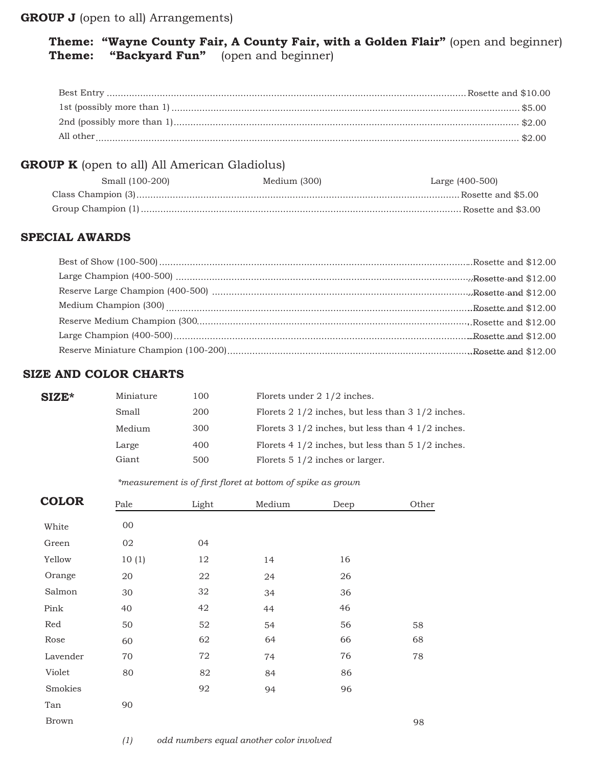### **GROUP J** (open to all) Arrangements)

## **Theme: "Wayne County Fair, A County Fair, with a Golden Flair"** (open and beginner) **Theme: "Backyard Fun"** (open and beginner)

| All other |  |
|-----------|--|

## **GROUP K** (open to all) All American Gladiolus)

| Small (100-200) | Medium (300) | Large (400-500) |
|-----------------|--------------|-----------------|
|                 |              |                 |
|                 |              |                 |

### **SPECIAL AWARDS**

### **SIZE AND COLOR CHARTS**

| $SIZE*$ | Miniature | 100 | Florets under $2 \frac{1}{2}$ inches.                                 |
|---------|-----------|-----|-----------------------------------------------------------------------|
|         | Small     | 200 | Florets $2 \frac{1}{2}$ inches, but less than $3 \frac{1}{2}$ inches. |
|         | Medium    | 300 | Florets $3\frac{1}{2}$ inches, but less than $4\frac{1}{2}$ inches.   |
|         | Large     | 400 | Florets $4\frac{1}{2}$ inches, but less than $5\frac{1}{2}$ inches.   |
|         | Giant     | 500 | Florets $5 \frac{1}{2}$ inches or larger.                             |
|         |           |     |                                                                       |

#### *\*measurement is of first floret at bottom of spike as grown*

| <b>COLOR</b> | Pale   | Light | Medium | Deep | Other |
|--------------|--------|-------|--------|------|-------|
| White        | $00\,$ |       |        |      |       |
| Green        | 02     | 04    |        |      |       |
| Yellow       | 10(1)  | 12    | 14     | 16   |       |
| Orange       | 20     | 22    | 24     | 26   |       |
| Salmon       | 30     | 32    | 34     | 36   |       |
| Pink         | 40     | 42    | 44     | 46   |       |
| Red          | 50     | 52    | 54     | 56   | 58    |
| Rose         | 60     | 62    | 64     | 66   | 68    |
| Lavender     | 70     | 72    | 74     | 76   | 78    |
| Violet       | 80     | 82    | 84     | 86   |       |
| Smokies      |        | 92    | 94     | 96   |       |
| Tan          | 90     |       |        |      |       |
| <b>Brown</b> |        |       |        |      | 98    |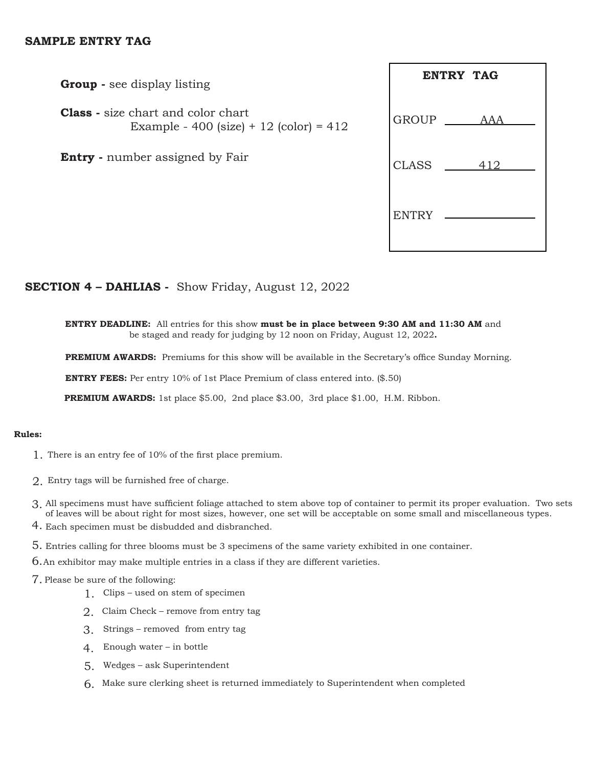### **SAMPLE ENTRY TAG**

**Group -** see display listing

**Class -** size chart and color chart **Example** - 400 (size) + 12 (color) =  $412$ 

**Entry** - number assigned by Fair

|              | <b>ENTRY TAG</b> |
|--------------|------------------|
| <b>GROUP</b> | AAA              |
| <b>CLASS</b> | 412              |
| <b>ENTRY</b> |                  |

### **SECTION 4 – DAHLIAS -** Show Friday, August 12, 2022

**ENTRY DEADLINE:** All entries for this show **must be in place between 9:30 AM and 11:30 AM** and be staged and ready for judging by 12 noon on Friday, August 12, 2022**.** 

**PREMIUM AWARDS:** Premiums for this show will be available in the Secretary's office Sunday Morning.

**ENTRY FEES:** Per entry 10% of 1st Place Premium of class entered into. (\$.50)

**PREMIUM AWARDS:** 1st place \$5.00, 2nd place \$3.00, 3rd place \$1.00, H.M. Ribbon.

#### **Rules:**

- 1. There is an entry fee of 10% of the first place premium.
- 2. Entry tags will be furnished free of charge.
- 3. All specimens must have sufficient foliage attached to stem above top of container to permit its proper evaluation. Two sets of leaves will be about right for most sizes, however, one set will be acceptable on some small and miscellaneous types.
- 4. Each specimen must be disbudded and disbranched.
- 5. Entries calling for three blooms must be 3 specimens of the same variety exhibited in one container.
- 6. An exhibitor may make multiple entries in a class if they are different varieties.
- 7. Please be sure of the following:
	- 1. Clips used on stem of specimen
	- 2. Claim Check remove from entry tag
	- 3. Strings removed from entry tag
	- 4. Enough water in bottle
	- 5. Wedges ask Superintendent
	- 6. Make sure clerking sheet is returned immediately to Superintendent when completed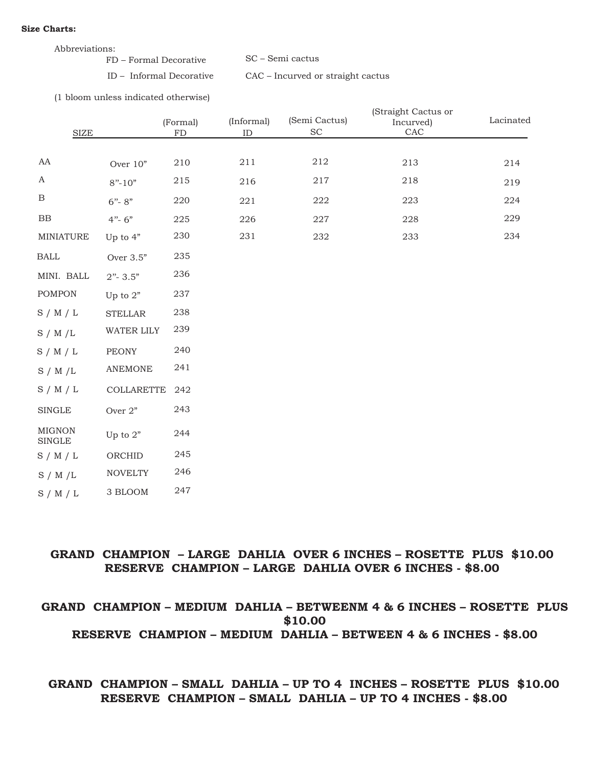#### **Size Charts:**

| Abbreviations:         |                  |
|------------------------|------------------|
| FD – Formal Decorative | SC – Semi cactus |

ID – Informal Decorative CAC – Incurved or straight cactus

(1 bloom unless indicated otherwise)

| ${\rm SIZE}$                   |                | (Formal)<br>${\rm FD}$ | (Informal)<br>$\rm ID$ | (Semi Cactus)<br>$\protect\operatorname{SC}$ | (Straight Cactus or<br>Incurved)<br>CAC | Lacinated |
|--------------------------------|----------------|------------------------|------------------------|----------------------------------------------|-----------------------------------------|-----------|
|                                |                |                        |                        |                                              |                                         |           |
| AA                             | Over 10"       | 210                    | 211                    | 212                                          | 213                                     | 214       |
| $\boldsymbol{A}$               | $8" - 10"$     | 215                    | 216                    | 217                                          | 218                                     | 219       |
| $\, {\bf B}$                   | $6 - 8$ "      | 220                    | 221                    | 222                                          | 223                                     | 224       |
| $_{\rm BB}$                    | $4 - 6$        | 225                    | 226                    | 227                                          | 228                                     | 229       |
| MINIATURE                      | Up to $4"$     | 230                    | 231                    | 232                                          | 233                                     | 234       |
| <b>BALL</b>                    | Over 3.5"      | 235                    |                        |                                              |                                         |           |
| MINI. BALL                     | $2"$ - 3.5"    | 236                    |                        |                                              |                                         |           |
| <b>POMPON</b>                  | Up to $2"$     | 237                    |                        |                                              |                                         |           |
| S/M/L                          | <b>STELLAR</b> | 238                    |                        |                                              |                                         |           |
| S / M / L                      | WATER LILY     | 239                    |                        |                                              |                                         |           |
| S/M/L                          | <b>PEONY</b>   | 240                    |                        |                                              |                                         |           |
| S / M / L                      | <b>ANEMONE</b> | 241                    |                        |                                              |                                         |           |
| S/M/L                          | COLLARETTE     | 242                    |                        |                                              |                                         |           |
| <b>SINGLE</b>                  | Over $2"$      | 243                    |                        |                                              |                                         |           |
| <b>MIGNON</b><br><b>SINGLE</b> | Up to $2"$     | 244                    |                        |                                              |                                         |           |
| S/M/L                          | ORCHID         | 245                    |                        |                                              |                                         |           |
| S / M / L                      | <b>NOVELTY</b> | 246                    |                        |                                              |                                         |           |
| S / M / L                      | 3 BLOOM        | 247                    |                        |                                              |                                         |           |

### **GRAND CHAMPION – LARGE DAHLIA OVER 6 INCHES – ROSETTE PLUS \$10.00 RESERVE CHAMPION – LARGE DAHLIA OVER 6 INCHES - \$8.00**

### **GRAND CHAMPION – MEDIUM DAHLIA – BETWEENM 4 & 6 INCHES – ROSETTE PLUS \$10.00 RESERVE CHAMPION – MEDIUM DAHLIA – BETWEEN 4 & 6 INCHES - \$8.00**

### **GRAND CHAMPION – SMALL DAHLIA – UP TO 4 INCHES – ROSETTE PLUS \$10.00 RESERVE CHAMPION – SMALL DAHLIA – UP TO 4 INCHES - \$8.00**